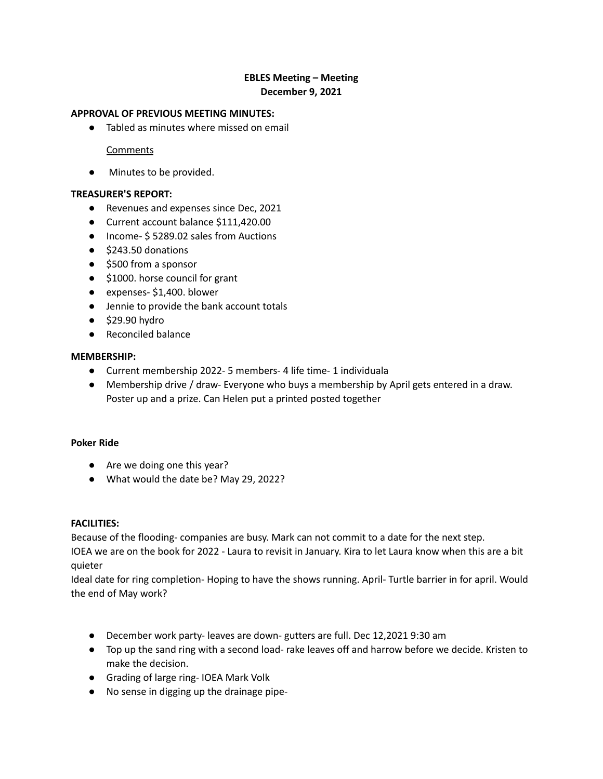# **EBLES Meeting – Meeting December 9, 2021**

## **APPROVAL OF PREVIOUS MEETING MINUTES:**

● Tabled as minutes where missed on email

### **Comments**

● Minutes to be provided.

### **TREASURER'S REPORT:**

- Revenues and expenses since Dec, 2021
- Current account balance \$111,420.00
- Income- \$5289.02 sales from Auctions
- \$243.50 donations
- \$500 from a sponsor
- \$1000. horse council for grant
- expenses- \$1,400. blower
- Jennie to provide the bank account totals
- $\bullet$  \$29.90 hydro
- Reconciled balance

### **MEMBERSHIP:**

- Current membership 2022- 5 members- 4 life time- 1 individuala
- Membership drive / draw- Everyone who buys a membership by April gets entered in a draw. Poster up and a prize. Can Helen put a printed posted together

### **Poker Ride**

- Are we doing one this year?
- What would the date be? May 29, 2022?

### **FACILITIES:**

Because of the flooding- companies are busy. Mark can not commit to a date for the next step.

IOEA we are on the book for 2022 - Laura to revisit in January. Kira to let Laura know when this are a bit quieter

Ideal date for ring completion- Hoping to have the shows running. April- Turtle barrier in for april. Would the end of May work?

- December work party- leaves are down- gutters are full. Dec 12,2021 9:30 am
- Top up the sand ring with a second load- rake leaves off and harrow before we decide. Kristen to make the decision.
- Grading of large ring- IOEA Mark Volk
- No sense in digging up the drainage pipe-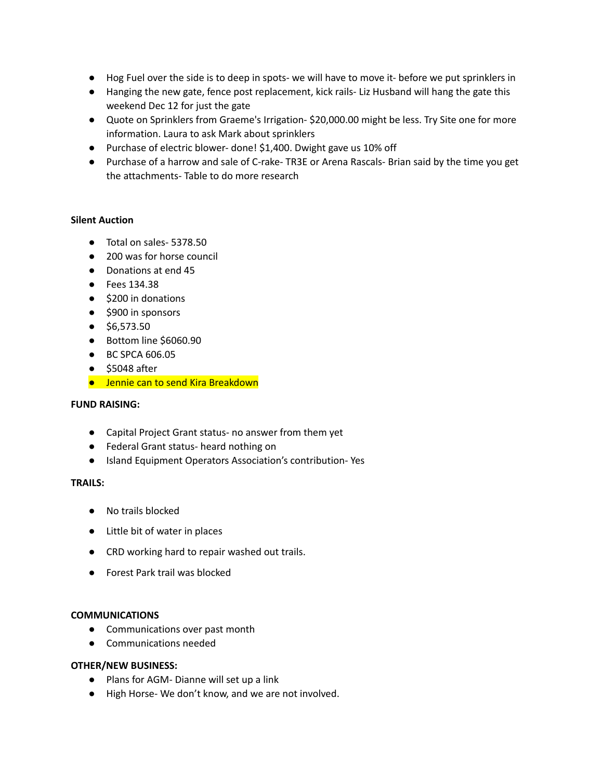- Hog Fuel over the side is to deep in spots- we will have to move it- before we put sprinklers in
- Hanging the new gate, fence post replacement, kick rails- Liz Husband will hang the gate this weekend Dec 12 for just the gate
- Quote on Sprinklers from Graeme's Irrigation- \$20,000.00 might be less. Try Site one for more information. Laura to ask Mark about sprinklers
- Purchase of electric blower- done! \$1,400. Dwight gave us 10% off
- Purchase of a harrow and sale of C-rake- TR3E or Arena Rascals- Brian said by the time you get the attachments- Table to do more research

# **Silent Auction**

- Total on sales- 5378.50
- 200 was for horse council
- Donations at end 45
- Fees 134.38
- \$200 in donations
- \$900 in sponsors
- \$6,573.50
- Bottom line \$6060.90
- BC SPCA 606.05
- \$5048 after
- Jennie can to send Kira Breakdown

### **FUND RAISING:**

- Capital Project Grant status- no answer from them yet
- Federal Grant status- heard nothing on
- Island Equipment Operators Association's contribution- Yes

### **TRAILS:**

- No trails blocked
- Little bit of water in places
- CRD working hard to repair washed out trails.
- Forest Park trail was blocked

### **COMMUNICATIONS**

- Communications over past month
- Communications needed

### **OTHER/NEW BUSINESS:**

- Plans for AGM- Dianne will set up a link
- High Horse- We don't know, and we are not involved.